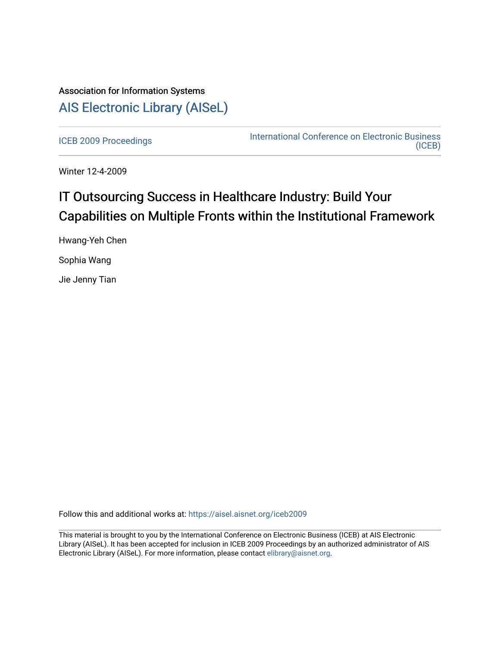## Association for Information Systems [AIS Electronic Library \(AISeL\)](https://aisel.aisnet.org/)

[ICEB 2009 Proceedings](https://aisel.aisnet.org/iceb2009) **International Conference on Electronic Business** [\(ICEB\)](https://aisel.aisnet.org/iceb) 

Winter 12-4-2009

# IT Outsourcing Success in Healthcare Industry: Build Your Capabilities on Multiple Fronts within the Institutional Framework

Hwang-Yeh Chen Sophia Wang

Jie Jenny Tian

Follow this and additional works at: [https://aisel.aisnet.org/iceb2009](https://aisel.aisnet.org/iceb2009?utm_source=aisel.aisnet.org%2Ficeb2009%2F85&utm_medium=PDF&utm_campaign=PDFCoverPages)

This material is brought to you by the International Conference on Electronic Business (ICEB) at AIS Electronic Library (AISeL). It has been accepted for inclusion in ICEB 2009 Proceedings by an authorized administrator of AIS Electronic Library (AISeL). For more information, please contact [elibrary@aisnet.org.](mailto:elibrary@aisnet.org%3E)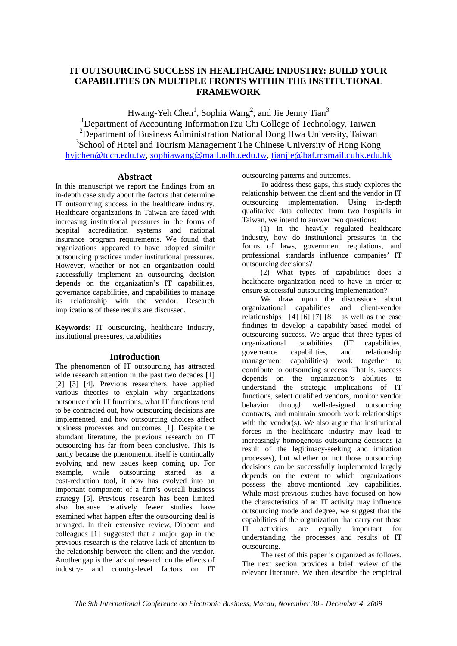## **IT OUTSOURCING SUCCESS IN HEALTHCARE INDUSTRY: BUILD YOUR CAPABILITIES ON MULTIPLE FRONTS WITHIN THE INSTITUTIONAL FRAMEWORK**

Hwang-Yeh Chen<sup>1</sup>, Sophia Wang<sup>2</sup>, and Jie Jenny Tian<sup>3</sup>

<sup>1</sup>Department of Accounting InformationTzu Chi College of Technology, Taiwan <sup>2</sup>Department of Business Administration National Dong Hwa University, Taiwan <sup>3</sup>School of Hotel and Tourism Management The Chinese University of Hong Kong hyjchen@tccn.edu.tw, sophiawang@mail.ndhu.edu.tw, tianjie@baf.msmail.cuhk.edu.hk

## **Abstract**

In this manuscript we report the findings from an in-depth case study about the factors that determine IT outsourcing success in the healthcare industry. Healthcare organizations in Taiwan are faced with increasing institutional pressures in the forms of hospital accreditation systems and national insurance program requirements. We found that organizations appeared to have adopted similar outsourcing practices under institutional pressures. However, whether or not an organization could successfully implement an outsourcing decision depends on the organization's IT capabilities, governance capabilities, and capabilities to manage its relationship with the vendor. Research implications of these results are discussed.

**Keywords:** IT outsourcing, healthcare industry, institutional pressures, capabilities

## **Introduction**

The phenomenon of IT outsourcing has attracted wide research attention in the past two decades [1] [2] [3] [4]. Previous researchers have applied various theories to explain why organizations outsource their IT functions, what IT functions tend to be contracted out, how outsourcing decisions are implemented, and how outsourcing choices affect business processes and outcomes [1]. Despite the abundant literature, the previous research on IT outsourcing has far from been conclusive. This is partly because the phenomenon itself is continually evolving and new issues keep coming up. For example, while outsourcing started as a cost-reduction tool, it now has evolved into an important component of a firm's overall business strategy [5]. Previous research has been limited also because relatively fewer studies have examined what happen after the outsourcing deal is arranged. In their extensive review, Dibbern and colleagues [1] suggested that a major gap in the previous research is the relative lack of attention to the relationship between the client and the vendor. Another gap is the lack of research on the effects of industry- and country-level factors on IT

outsourcing patterns and outcomes.

To address these gaps, this study explores the relationship between the client and the vendor in IT outsourcing implementation. Using in-depth qualitative data collected from two hospitals in Taiwan, we intend to answer two questions:

(1) In the heavily regulated healthcare industry, how do institutional pressures in the forms of laws, government regulations, and professional standards influence companies' IT outsourcing decisions?

(2) What types of capabilities does a healthcare organization need to have in order to ensure successful outsourcing implementation?

We draw upon the discussions about organizational capabilities and client-vendor relationships [4] [6] [7] [8] as well as the case findings to develop a capability-based model of outsourcing success. We argue that three types of<br>organizational capabilities (IT capabilities, organizational capabilities (IT governance capabilities, and relationship management capabilities) work together to contribute to outsourcing success. That is, success depends on the organization's abilities to understand the strategic implications of IT functions, select qualified vendors, monitor vendor behavior through well-designed outsourcing contracts, and maintain smooth work relationships with the vendor(s). We also argue that institutional forces in the healthcare industry may lead to increasingly homogenous outsourcing decisions (a result of the legitimacy-seeking and imitation processes), but whether or not those outsourcing decisions can be successfully implemented largely depends on the extent to which organizations possess the above-mentioned key capabilities. While most previous studies have focused on how the characteristics of an IT activity may influence outsourcing mode and degree, we suggest that the capabilities of the organization that carry out those<br>IT activities are equally important for IT activities are equally important for understanding the processes and results of IT outsourcing.

The rest of this paper is organized as follows. The next section provides a brief review of the relevant literature. We then describe the empirical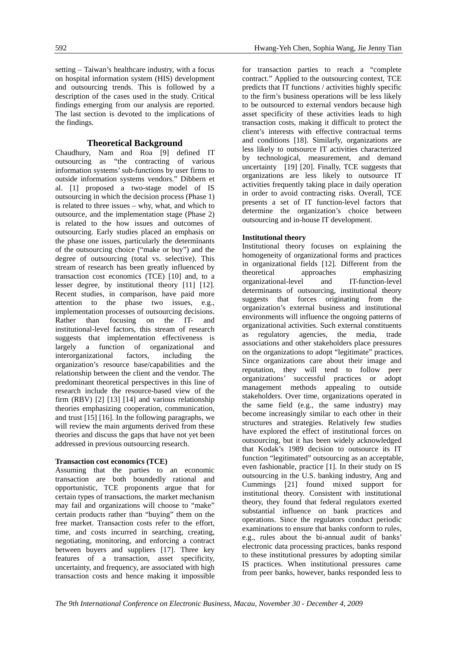setting – Taiwan's healthcare industry, with a focus on hospital information system (HIS) development and outsourcing trends. This is followed by a description of the cases used in the study. Critical findings emerging from our analysis are reported. The last section is devoted to the implications of the findings.

## **Theoretical Background**

Chaudhury, Nam and Roa [9] defined IT outsourcing as "the contracting of various information systems' sub-functions by user firms to outside information systems vendors." Dibbern et al. [1] proposed a two-stage model of IS outsourcing in which the decision process (Phase 1) is related to three issues – why, what, and which to outsource, and the implementation stage (Phase 2) is related to the how issues and outcomes of outsourcing. Early studies placed an emphasis on the phase one issues, particularly the determinants of the outsourcing choice ("make or buy") and the degree of outsourcing (total vs. selective). This stream of research has been greatly influenced by transaction cost economics (TCE) [10] and, to a lesser degree, by institutional theory [11] [12]. Recent studies, in comparison, have paid more attention to the phase two issues, e.g., implementation processes of outsourcing decisions. Rather than focusing on the IT- and institutional-level factors, this stream of research suggests that implementation effectiveness is largely a function of organizational and interorganizational factors, including the organization's resource base/capabilities and the relationship between the client and the vendor. The predominant theoretical perspectives in this line of research include the resource-based view of the firm (RBV) [2] [13] [14] and various relationship theories emphasizing cooperation, communication, and trust [15] [16]. In the following paragraphs, we will review the main arguments derived from these theories and discuss the gaps that have not yet been addressed in previous outsourcing research.

## **Transaction cost economics (TCE)**

Assuming that the parties to an economic transaction are both boundedly rational and opportunistic, TCE proponents argue that for certain types of transactions, the market mechanism may fail and organizations will choose to "make" certain products rather than "buying" them on the free market. Transaction costs refer to the effort, time, and costs incurred in searching, creating, negotiating, monitoring, and enforcing a contract between buyers and suppliers [17]. Three key features of a transaction, asset specificity, uncertainty, and frequency, are associated with high transaction costs and hence making it impossible for transaction parties to reach a "complete contract." Applied to the outsourcing context, TCE predicts that IT functions / activities highly specific to the firm's business operations will be less likely to be outsourced to external vendors because high asset specificity of these activities leads to high transaction costs, making it difficult to protect the client's interests with effective contractual terms and conditions [18]. Similarly, organizations are less likely to outsource IT activities characterized by technological, measurement, and demand uncertainty [19] [20]. Finally, TCE suggests that organizations are less likely to outsource IT activities frequently taking place in daily operation in order to avoid contracting risks. Overall, TCE presents a set of IT function-level factors that determine the organization's choice between outsourcing and in-house IT development.

### **Institutional theory**

Institutional theory focuses on explaining the homogeneity of organizational forms and practices in organizational fields [12]. Different from the theoretical approaches emphasizing organizational-level and IT-function-level determinants of outsourcing, institutional theory suggests that forces originating from the organization's external business and institutional environments will influence the ongoing patterns of organizational activities. Such external constituents as regulatory agencies, the media, trade associations and other stakeholders place pressures on the organizations to adopt "legitimate" practices. Since organizations care about their image and reputation, they will tend to follow peer organizations' successful practices or adopt management methods appealing to outside stakeholders. Over time, organizations operated in the same field (e.g., the same industry) may become increasingly similar to each other in their structures and strategies. Relatively few studies have explored the effect of institutional forces on outsourcing, but it has been widely acknowledged that Kodak's 1989 decision to outsource its IT function "legitimated" outsourcing as an acceptable, even fashionable, practice [1]. In their study on IS outsourcing in the U.S. banking industry, Ang and Cummings [21] found mixed support for institutional theory. Consistent with institutional theory, they found that federal regulators exerted substantial influence on bank practices and operations. Since the regulators conduct periodic examinations to ensure that banks conform to rules, e.g., rules about the bi-annual audit of banks' electronic data processing practices, banks respond to these institutional pressures by adopting similar IS practices. When institutional pressures came from peer banks, however, banks responded less to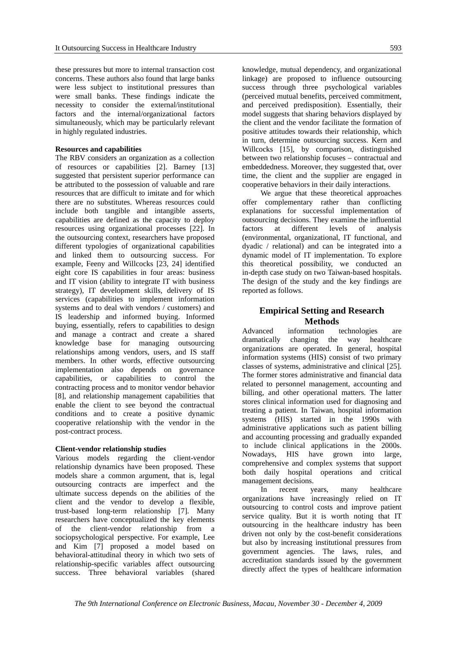these pressures but more to internal transaction cost concerns. These authors also found that large banks were less subject to institutional pressures than were small banks. These findings indicate the necessity to consider the external/institutional factors and the internal/organizational factors simultaneously, which may be particularly relevant in highly regulated industries.

#### **Resources and capabilities**

The RBV considers an organization as a collection of resources or capabilities [2]. Barney [13] suggested that persistent superior performance can be attributed to the possession of valuable and rare resources that are difficult to imitate and for which there are no substitutes. Whereas resources could include both tangible and intangible asserts, capabilities are defined as the capacity to deploy resources using organizational processes [22]. In the outsourcing context, researchers have proposed different typologies of organizational capabilities and linked them to outsourcing success. For example, Feeny and Willcocks [23, 24] identified eight core IS capabilities in four areas: business and IT vision (ability to integrate IT with business strategy), IT development skills, delivery of IS services (capabilities to implement information systems and to deal with vendors / customers) and IS leadership and informed buying. Informed buying, essentially, refers to capabilities to design and manage a contract and create a shared knowledge base for managing outsourcing relationships among vendors, users, and IS staff members. In other words, effective outsourcing implementation also depends on governance capabilities, or capabilities to control the contracting process and to monitor vendor behavior [8], and relationship management capabilities that enable the client to see beyond the contractual conditions and to create a positive dynamic cooperative relationship with the vendor in the post-contract process.

#### **Client-vendor relationship studies**

Various models regarding the client-vendor relationship dynamics have been proposed. These models share a common argument, that is, legal outsourcing contracts are imperfect and the ultimate success depends on the abilities of the client and the vendor to develop a flexible, trust-based long-term relationship [7]. Many researchers have conceptualized the key elements of the client-vendor relationship from a sociopsychological perspective. For example, Lee and Kim [7] proposed a model based on behavioral-attitudinal theory in which two sets of relationship-specific variables affect outsourcing success. Three behavioral variables (shared

knowledge, mutual dependency, and organizational linkage) are proposed to influence outsourcing success through three psychological variables (perceived mutual benefits, perceived commitment, and perceived predisposition). Essentially, their model suggests that sharing behaviors displayed by the client and the vendor facilitate the formation of positive attitudes towards their relationship, which in turn, determine outsourcing success. Kern and Willcocks [15], by comparison, distinguished between two relationship focuses – contractual and embeddedness. Moreover, they suggested that, over time, the client and the supplier are engaged in cooperative behaviors in their daily interactions.

We argue that these theoretical approaches offer complementary rather than conflicting explanations for successful implementation of outsourcing decisions. They examine the influential factors at different levels of analysis (environmental, organizational, IT functional, and dyadic / relational) and can be integrated into a dynamic model of IT implementation. To explore this theoretical possibility, we conducted an in-depth case study on two Taiwan-based hospitals. The design of the study and the key findings are reported as follows.

## **Empirical Setting and Research Methods**

Advanced information technologies are dramatically changing the way healthcare organizations are operated. In general, hospital information systems (HIS) consist of two primary classes of systems, administrative and clinical [25]. The former stores administrative and financial data related to personnel management, accounting and billing, and other operational matters. The latter stores clinical information used for diagnosing and treating a patient. In Taiwan, hospital information systems (HIS) started in the 1990s with administrative applications such as patient billing and accounting processing and gradually expanded to include clinical applications in the 2000s. Nowadays, HIS have grown into large, comprehensive and complex systems that support both daily hospital operations and critical management decisions.

In recent years, many healthcare organizations have increasingly relied on IT outsourcing to control costs and improve patient service quality. But it is worth noting that IT outsourcing in the healthcare industry has been driven not only by the cost-benefit considerations but also by increasing institutional pressures from government agencies. The laws, rules, and accreditation standards issued by the government directly affect the types of healthcare information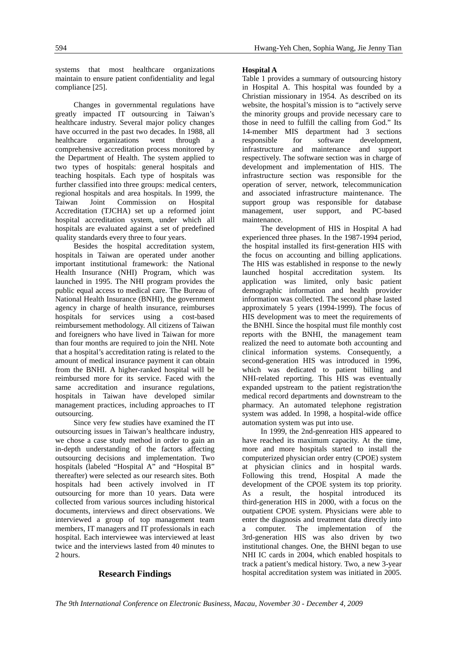systems that most healthcare organizations maintain to ensure patient confidentiality and legal compliance [25].

Changes in governmental regulations have greatly impacted IT outsourcing in Taiwan's healthcare industry. Several major policy changes have occurred in the past two decades. In 1988, all healthcare organizations went through a comprehensive accreditation process monitored by the Department of Health. The system applied to two types of hospitals: general hospitals and teaching hospitals. Each type of hospitals was further classified into three groups: medical centers, regional hospitals and area hospitals. In 1999, the Taiwan Joint Commission on Hospital Accreditation (TJCHA) set up a reformed joint hospital accreditation system, under which all hospitals are evaluated against a set of predefined quality standards every three to four years.

Besides the hospital accreditation system, hospitals in Taiwan are operated under another important institutional framework: the National Health Insurance (NHI) Program, which was launched in 1995. The NHI program provides the public equal access to medical care. The Bureau of National Health Insurance (BNHI), the government agency in charge of health insurance, reimburses hospitals for services using a cost-based reimbursement methodology. All citizens of Taiwan and foreigners who have lived in Taiwan for more than four months are required to join the NHI. Note that a hospital's accreditation rating is related to the amount of medical insurance payment it can obtain from the BNHI. A higher-ranked hospital will be reimbursed more for its service. Faced with the same accreditation and insurance regulations, hospitals in Taiwan have developed similar management practices, including approaches to IT outsourcing.

Since very few studies have examined the IT outsourcing issues in Taiwan's healthcare industry, we chose a case study method in order to gain an in-depth understanding of the factors affecting outsourcing decisions and implementation. Two hospitals (labeled "Hospital A" and "Hospital B" thereafter) were selected as our research sites. Both hospitals had been actively involved in IT outsourcing for more than 10 years. Data were collected from various sources including historical documents, interviews and direct observations. We interviewed a group of top management team members, IT managers and IT professionals in each hospital. Each interviewee was interviewed at least twice and the interviews lasted from 40 minutes to 2 hours.

## **Research Findings**

#### **Hospital A**

Table 1 provides a summary of outsourcing history in Hospital A. This hospital was founded by a Christian missionary in 1954. As described on its website, the hospital's mission is to "actively serve the minority groups and provide necessary care to those in need to fulfill the calling from God." Its 14-member MIS department had 3 sections responsible for software development, infrastructure and maintenance and support respectively. The software section was in charge of development and implementation of HIS. The infrastructure section was responsible for the operation of server, network, telecommunication and associated infrastructure maintenance. The support group was responsible for database management, user support, and PC-based maintenance.

The development of HIS in Hospital A had experienced three phases. In the 1987-1994 period, the hospital installed its first-generation HIS with the focus on accounting and billing applications. The HIS was established in response to the newly launched hospital accreditation system. Its application was limited, only basic patient demographic information and health provider information was collected. The second phase lasted approximately 5 years (1994-1999). The focus of HIS development was to meet the requirements of the BNHI. Since the hospital must file monthly cost reports with the BNHI, the management team realized the need to automate both accounting and clinical information systems. Consequently, a second-generation HIS was introduced in 1996, which was dedicated to patient billing and NHI-related reporting. This HIS was eventually expanded upstream to the patient registration/the medical record departments and downstream to the pharmacy. An automated telephone registration system was added. In 1998, a hospital-wide office automation system was put into use.

In 1999, the 2nd-genreation HIS appeared to have reached its maximum capacity. At the time, more and more hospitals started to install the computerized physician order entry (CPOE) system at physician clinics and in hospital wards. Following this trend, Hospital A made the development of the CPOE system its top priority. As a result, the hospital introduced its third-generation HIS in 2000, with a focus on the outpatient CPOE system. Physicians were able to enter the diagnosis and treatment data directly into a computer. The implementation of the 3rd-generation HIS was also driven by two institutional changes. One, the BHNI began to use NHI IC cards in 2004, which enabled hospitals to track a patient's medical history. Two, a new 3-year hospital accreditation system was initiated in 2005.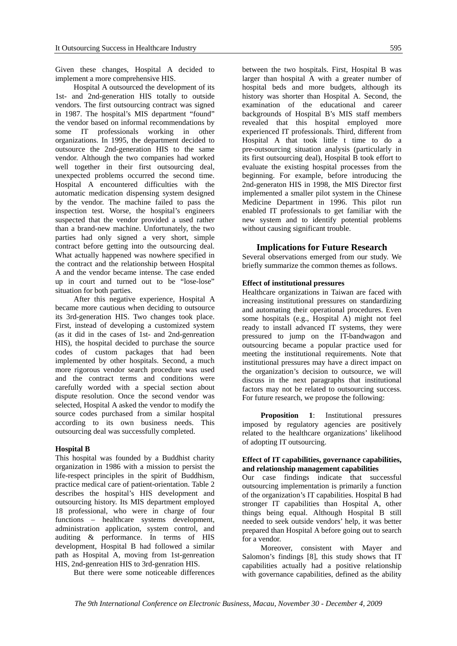Given these changes, Hospital A decided to implement a more comprehensive HIS.

Hospital A outsourced the development of its 1st- and 2nd-generation HIS totally to outside vendors. The first outsourcing contract was signed in 1987. The hospital's MIS department "found" the vendor based on informal recommendations by some IT professionals working in other organizations. In 1995, the department decided to outsource the 2nd-generation HIS to the same vendor. Although the two companies had worked well together in their first outsourcing deal, unexpected problems occurred the second time. Hospital A encountered difficulties with the automatic medication dispensing system designed by the vendor. The machine failed to pass the inspection test. Worse, the hospital's engineers suspected that the vendor provided a used rather than a brand-new machine. Unfortunately, the two parties had only signed a very short, simple contract before getting into the outsourcing deal. What actually happened was nowhere specified in the contract and the relationship between Hospital A and the vendor became intense. The case ended up in court and turned out to be "lose-lose" situation for both parties.

After this negative experience, Hospital A became more cautious when deciding to outsource its 3rd-generation HIS. Two changes took place. First, instead of developing a customized system (as it did in the cases of 1st- and 2nd-genreation HIS), the hospital decided to purchase the source codes of custom packages that had been implemented by other hospitals. Second, a much more rigorous vendor search procedure was used and the contract terms and conditions were carefully worded with a special section about dispute resolution. Once the second vendor was selected, Hospital A asked the vendor to modify the source codes purchased from a similar hospital according to its own business needs. This outsourcing deal was successfully completed.

#### **Hospital B**

This hospital was founded by a Buddhist charity organization in 1986 with a mission to persist the life-respect principles in the spirit of Buddhism, practice medical care of patient-orientation. Table 2 describes the hospital's HIS development and outsourcing history. Its MIS department employed 18 professional, who were in charge of four functions – healthcare systems development, administration application, system control, and auditing & performance. In terms of HIS development, Hospital B had followed a similar path as Hospital A, moving from 1st-genreation HIS, 2nd-genreation HIS to 3rd-genration HIS.

But there were some noticeable differences

between the two hospitals. First, Hospital B was larger than hospital A with a greater number of hospital beds and more budgets, although its history was shorter than Hospital A. Second, the examination of the educational and career backgrounds of Hospital B's MIS staff members revealed that this hospital employed more experienced IT professionals. Third, different from Hospital A that took little t time to do a pre-outsourcing situation analysis (particularly in its first outsourcing deal), Hospital B took effort to evaluate the existing hospital processes from the beginning. For example, before introducing the 2nd-generaton HIS in 1998, the MIS Director first implemented a smaller pilot system in the Chinese Medicine Department in 1996. This pilot run enabled IT professionals to get familiar with the new system and to identify potential problems without causing significant trouble.

#### **Implications for Future Research**

Several observations emerged from our study. We briefly summarize the common themes as follows.

## **Effect of institutional pressures**

Healthcare organizations in Taiwan are faced with increasing institutional pressures on standardizing and automating their operational procedures. Even some hospitals (e.g., Hospital A) might not feel ready to install advanced IT systems, they were pressured to jump on the IT-bandwagon and outsourcing became a popular practice used for meeting the institutional requirements. Note that institutional pressures may have a direct impact on the organization's decision to outsource, we will discuss in the next paragraphs that institutional factors may not be related to outsourcing success. For future research, we propose the following:

**Proposition 1:** Institutional pressures imposed by regulatory agencies are positively related to the healthcare organizations' likelihood of adopting IT outsourcing.

### **Effect of IT capabilities, governance capabilities, and relationship management capabilities**

Our case findings indicate that successful outsourcing implementation is primarily a function of the organization's IT capabilities. Hospital B had stronger IT capabilities than Hospital A, other things being equal. Although Hospital B still needed to seek outside vendors' help, it was better prepared than Hospital A before going out to search for a vendor.

Moreover, consistent with Mayer and Salomon's findings [8], this study shows that IT capabilities actually had a positive relationship with governance capabilities, defined as the ability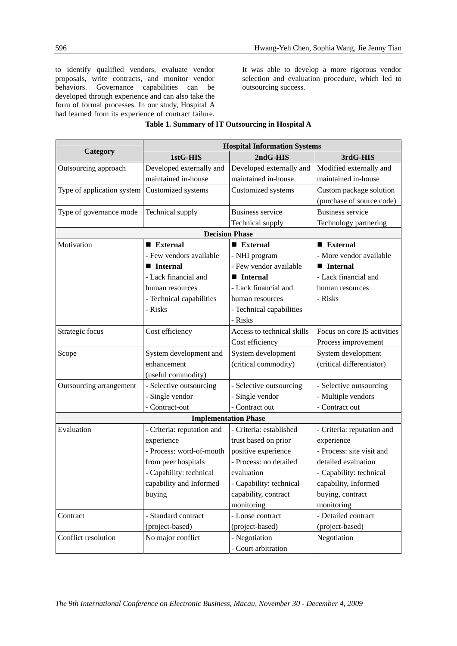to identify qualified vendors, evaluate vendor proposals, write contracts, and monitor vendor behaviors. Governance capabilities can be developed through experience and can also take the form of formal processes. In our study, Hospital A had learned from its experience of contract failure.

It was able to develop a more rigorous vendor selection and evaluation procedure, which led to outsourcing success.

|                            | <b>Hospital Information Systems</b> |                             |                             |  |
|----------------------------|-------------------------------------|-----------------------------|-----------------------------|--|
| Category                   | 1stG-HIS                            | 2ndG-HIS                    | 3rdG-HIS                    |  |
| Outsourcing approach       | Developed externally and            | Developed externally and    | Modified externally and     |  |
|                            | maintained in-house                 | maintained in-house         | maintained in-house         |  |
| Type of application system | Customized systems                  | Customized systems          | Custom package solution     |  |
|                            |                                     |                             | (purchase of source code)   |  |
| Type of governance mode    | Technical supply                    | <b>Business service</b>     | <b>Business service</b>     |  |
|                            |                                     | Technical supply            | Technology partnering       |  |
|                            |                                     | <b>Decision Phase</b>       |                             |  |
| Motivation                 | $\blacksquare$ External             | $\blacksquare$ External     | $\blacksquare$ External     |  |
|                            | - Few vendors available             | - NHI program               | - More vendor available     |  |
|                            | <b>Internal</b>                     | - Few vendor available      | <b>Internal</b>             |  |
|                            | - Lack financial and                | ■ Internal                  | - Lack financial and        |  |
|                            | human resources                     | - Lack financial and        | human resources             |  |
|                            | - Technical capabilities            | human resources             | - Risks                     |  |
|                            | - Risks                             | - Technical capabilities    |                             |  |
|                            |                                     | - Risks                     |                             |  |
| Strategic focus            | Cost efficiency                     | Access to technical skills  | Focus on core IS activities |  |
|                            |                                     | Cost efficiency             | Process improvement         |  |
| Scope                      | System development and              | System development          | System development          |  |
|                            | enhancement                         | (critical commodity)        | (critical differentiator)   |  |
|                            | (useful commodity)                  |                             |                             |  |
| Outsourcing arrangement    | - Selective outsourcing             | - Selective outsourcing     | - Selective outsourcing     |  |
|                            | - Single vendor                     | - Single vendor             | - Multiple vendors          |  |
|                            | - Contract-out                      | - Contract out              | - Contract out              |  |
|                            |                                     | <b>Implementation Phase</b> |                             |  |
| Evaluation                 | - Criteria: reputation and          | - Criteria: established     | - Criteria: reputation and  |  |
|                            | experience                          | trust based on prior        | experience                  |  |
|                            | - Process: word-of-mouth            | positive experience         | - Process: site visit and   |  |
|                            | from peer hospitals                 | - Process: no detailed      | detailed evaluation         |  |
|                            | - Capability: technical             | evaluation                  | - Capability: technical     |  |
|                            | capability and Informed             | - Capability: technical     | capability, Informed        |  |
|                            | buying                              | capability, contract        | buying, contract            |  |
|                            |                                     | monitoring                  | monitoring                  |  |
| Contract                   | - Standard contract                 | - Loose contract            | - Detailed contract         |  |
|                            | (project-based)                     | (project-based)             | (project-based)             |  |
| Conflict resolution        | No major conflict                   | - Negotiation               | Negotiation                 |  |
|                            |                                     | - Court arbitration         |                             |  |

## **Table 1. Summary of IT Outsourcing in Hospital A**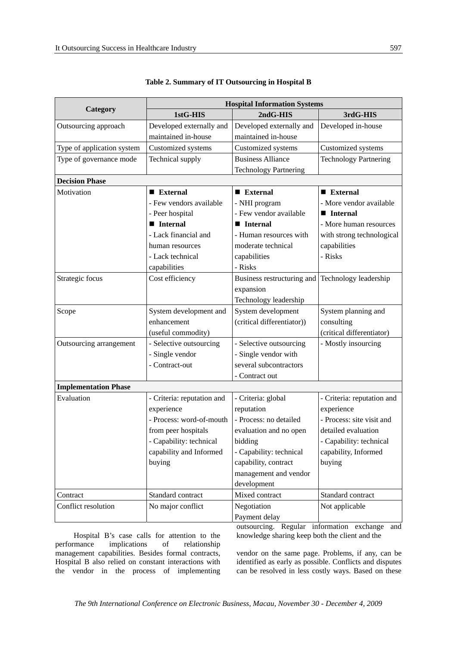|                             |                            | <b>Hospital Information Systems</b> |                              |
|-----------------------------|----------------------------|-------------------------------------|------------------------------|
| Category                    | 1stG-HIS                   | 2ndG-HIS                            | 3rdG-HIS                     |
| Outsourcing approach        | Developed externally and   | Developed externally and            | Developed in-house           |
|                             | maintained in-house        | maintained in-house                 |                              |
| Type of application system  | Customized systems         | Customized systems                  | Customized systems           |
| Type of governance mode     | Technical supply           | <b>Business Alliance</b>            | <b>Technology Partnering</b> |
|                             |                            | <b>Technology Partnering</b>        |                              |
| <b>Decision Phase</b>       |                            |                                     |                              |
| Motivation                  | ■ External                 | $\blacksquare$ External             | $\blacksquare$ External      |
|                             | - Few vendors available    | - NHI program                       | - More vendor available      |
|                             | - Peer hospital            | - Few vendor available              | <b>Internal</b>              |
|                             | <b>Internal</b>            | <b>Internal</b>                     | - More human resources       |
|                             | - Lack financial and       | - Human resources with              | with strong technological    |
|                             | human resources            | moderate technical                  | capabilities                 |
|                             | - Lack technical           | capabilities                        | - Risks                      |
|                             | capabilities               | - Risks                             |                              |
| Strategic focus             | Cost efficiency            | Business restructuring and          | Technology leadership        |
|                             |                            | expansion                           |                              |
|                             |                            | Technology leadership               |                              |
| Scope                       | System development and     | System development                  | System planning and          |
|                             | enhancement                | (critical differentiator))          | consulting                   |
|                             | (useful commodity)         |                                     | (critical differentiator)    |
| Outsourcing arrangement     | - Selective outsourcing    | - Selective outsourcing             | - Mostly insourcing          |
|                             | - Single vendor            | - Single vendor with                |                              |
|                             | - Contract-out             | several subcontractors              |                              |
|                             |                            | - Contract out                      |                              |
| <b>Implementation Phase</b> |                            |                                     |                              |
| Evaluation                  | - Criteria: reputation and | - Criteria: global                  | - Criteria: reputation and   |
|                             | experience                 | reputation                          | experience                   |
|                             | - Process: word-of-mouth   | - Process: no detailed              | - Process: site visit and    |
|                             | from peer hospitals        | evaluation and no open              | detailed evaluation          |
|                             | Capability: technical      | bidding                             | Capability: technical        |
|                             | capability and Informed    | - Capability: technical             | capability, Informed         |
|                             | buying                     | capability, contract                | buying                       |
|                             |                            | management and vendor               |                              |
|                             |                            | development                         |                              |
| Contract                    | Standard contract          | Mixed contract                      | Standard contract            |
| Conflict resolution         | No major conflict          | Negotiation                         | Not applicable               |
|                             |                            | Payment delay                       |                              |

| Table 2. Summary of IT Outsourcing in Hospital B |
|--------------------------------------------------|
|--------------------------------------------------|

Hospital B's case calls for attention to the performance implications of relationship management capabilities. Besides formal contracts, Hospital B also relied on constant interactions with the vendor in the process of implementing outsourcing. Regular information exchange and knowledge sharing keep both the client and the

vendor on the same page. Problems, if any, can be identified as early as possible. Conflicts and disputes can be resolved in less costly ways. Based on these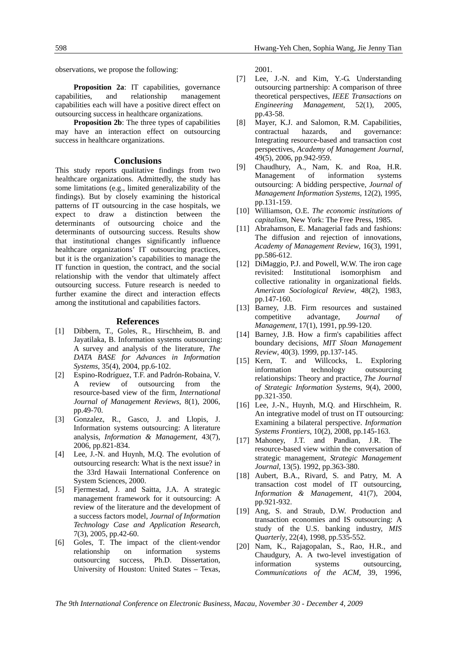observations, we propose the following:

**Proposition 2a:** IT capabilities, governance capabilities, and relationship management capabilities each will have a positive direct effect on outsourcing success in healthcare organizations.

**Proposition 2b**: The three types of capabilities may have an interaction effect on outsourcing success in healthcare organizations.

#### **Conclusions**

This study reports qualitative findings from two healthcare organizations. Admittedly, the study has some limitations (e.g., limited generalizability of the findings). But by closely examining the historical patterns of IT outsourcing in the case hospitals, we expect to draw a distinction between the determinants of outsourcing choice and the determinants of outsourcing success. Results show that institutional changes significantly influence healthcare organizations' IT outsourcing practices, but it is the organization's capabilities to manage the IT function in question, the contract, and the social relationship with the vendor that ultimately affect outsourcing success. Future research is needed to further examine the direct and interaction effects among the institutional and capabilities factors.

#### **References**

- [1] Dibbern, T., Goles, R., Hirschheim, B. and Jayatilaka, B. Information systems outsourcing: A survey and analysis of the literature, *The DATA BASE for Advances in Information Systems*, 35(4), 2004, pp.6-102.
- [2] Espino-Rodríguez, T.F. and Padrón-Robaina, V. A review of outsourcing from the resource-based view of the firm, *International Journal of Management Reviews*, 8(1), 2006, pp.49-70.
- [3] Gonzalez, R., Gasco, J. and Llopis, J. Information systems outsourcing: A literature analysis, *Information & Management*, 43(7), 2006, pp.821-834.
- [4] Lee, J.-N. and Huynh, M.O. The evolution of outsourcing research: What is the next issue? in the 33rd Hawaii International Conference on System Sciences, 2000.
- [5] Fjermestad, J. and Saitta, J.A. A strategic management framework for it outsourcing: A review of the literature and the development of a success factors model, *Journal of Information Technology Case and Application Research*, 7(3), 2005, pp.42-60.
- [6] Goles, T. The impact of the client-vendor relationship on information systems outsourcing success, Ph.D. Dissertation, University of Houston: United States – Texas,

2001.

- [7] Lee, J.-N. and Kim, Y.-G. Understanding outsourcing partnership: A comparison of three theoretical perspectives, *IEEE Transactions on Engineering Management*, 52(1), 2005, pp.43-58.
- [8] Mayer, K.J. and Salomon, R.M. Capabilities, contractual hazards, and governance: Integrating resource-based and transaction cost perspectives, *Academy of Management Journal*, 49(5), 2006, pp.942-959.
- [9] Chaudhury, A., Nam, K. and Roa, H.R. Management of information systems outsourcing: A bidding perspective, *Journal of Management Information Systems*, 12(2), 1995, pp.131-159.
- [10] Williamson, O.E. *The economic institutions of capitalism*, New York: The Free Press, 1985.
- [11] Abrahamson, E. Managerial fads and fashions: The diffusion and rejection of innovations, *Academy of Management Review*, 16(3), 1991, pp.586-612.
- [12] DiMaggio, P.J. and Powell, W.W. The iron cage revisited: Institutional isomorphism and collective rationality in organizational fields. *American Sociological Review*, 48(2), 1983, pp.147-160.
- [13] Barney, J.B. Firm resources and sustained competitive advantage, *Journal of Management*, 17(1), 1991, pp.99-120.
- [14] Barney, J.B. How a firm's capabilities affect boundary decisions, *MIT Sloan Management Review*, 40(3). 1999, pp.137-145.
- [15] Kern, T. and Willcocks, L. Exploring information technology outsourcing relationships: Theory and practice, *The Journal of Strategic Information Systems*, 9(4), 2000, pp.321-350.
- [16] Lee, J.-N., Huynh, M.Q. and Hirschheim, R. An integrative model of trust on IT outsourcing: Examining a bilateral perspective. *Information Systems Frontiers*, 10(2), 2008, pp.145-163.
- [17] Mahoney, J.T. and Pandian, J.R. The resource-based view within the conversation of strategic management, *Strategic Management Journal*, 13(5). 1992, pp.363-380.
- [18] Aubert, B.A., Rivard, S. and Patry, M. A. transaction cost model of IT outsourcing, *Information & Management*, 41(7), 2004, pp.921-932.
- [19] Ang, S. and Straub, D.W. Production and transaction economies and IS outsourcing: A study of the U.S. banking industry, *MIS Quarterly*, 22(4), 1998, pp.535-552.
- [20] Nam, K., Rajagopalan, S., Rao, H.R., and Chaudgury, A. A two-level investigation of information systems outsourcing, *Communications of the ACM*, 39, 1996,